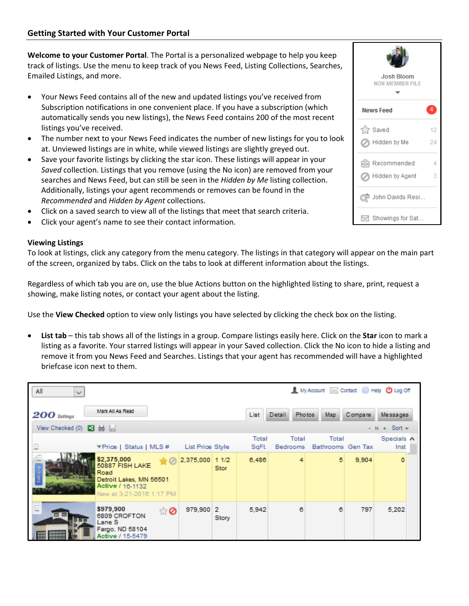**Welcome to your Customer Portal**. The Portal is a personalized webpage to help you keep track of listings. Use the menu to keep track of you News Feed, Listing Collections, Searches, Emailed Listings, and more.

- Your News Feed contains all of the new and updated listings you've received from Subscription notifications in one convenient place. If you have a subscription (which automatically sends you new listings), the News Feed contains 200 of the most recent listings you've received.
- The number next to your News Feed indicates the number of new listings for you to look at. Unviewed listings are in white, while viewed listings are slightly greyed out.
- Save your favorite listings by clicking the star icon. These listings will appear in your *Saved* collection. Listings that you remove (using the No icon) are removed from your searches and News Feed, but can still be seen in the *Hidden by Me* listing collection. Additionally, listings your agent recommends or removes can be found in the *Recommended* and *Hidden by Agent* collections.
- Click on a saved search to view all of the listings that meet that search criteria.
- Click your agent's name to see their contact information.

## **Viewing Listings**

To look at listings, click any category from the menu category. The listings in that category will appear on the main part of the screen, organized by tabs. Click on the tabs to look at different information about the listings.

Regardless of which tab you are on, use the blue Actions button on the highlighted listing to share, print, request a showing, make listing notes, or contact your agent about the listing.

Use the **View Checked** option to view only listings you have selected by clicking the check box on the listing.

• **List tab** – this tab shows all of the listings in a group. Compare listings easily here. Click on the **Star** icon to mark a listing as a favorite. Your starred listings will appear in your Saved collection. Click the No icon to hide a listing and remove it from you News Feed and Searches. Listings that your agent has recommended will have a highlighted briefcase icon next to them.

| 1 My Account <b>EX</b> Contact <b>i</b> Help <b>U</b> Log Off<br>All<br>$\sim$ |                                                                                                                   |                  |                     |                |                   |                            |          |                     |  |  |
|--------------------------------------------------------------------------------|-------------------------------------------------------------------------------------------------------------------|------------------|---------------------|----------------|-------------------|----------------------------|----------|---------------------|--|--|
| $200$ listings                                                                 | Mark All As Read                                                                                                  |                  |                     | List           | <b>Detail</b>     | <b>Photos</b><br>Map.      | Compare. | Messages            |  |  |
| View Checked (0) $\Box$ $\Box$                                                 |                                                                                                                   |                  |                     |                |                   |                            |          | $-11 +$ Sort $\neq$ |  |  |
|                                                                                | ▼Price   Status   MLS #                                                                                           | List Price Style |                     | Total<br>SqFt. | Total<br>Bedrooms | Total<br>Bathrooms Gen Tax |          | Specials A<br>Inst  |  |  |
| Actions                                                                        | \$2,375,000<br>50887 FISH LAKE<br>Road<br>Detroit Lakes, MN 56501<br>Active / 16-1132<br>New at 3-21-2016 1:17 PM | 2,375,000        | 11/2<br><b>Stor</b> | 6,486          | 4                 | 5                          | 9.904    | o                   |  |  |
|                                                                                | \$979,900<br>ti 0<br>6809 CROFTON<br>Lane S<br>Fargo, ND 58104<br>Active / 15-5479                                | 979,900 2        | Story               | 5,942          | 6                 | 6                          | 797      | 5,202               |  |  |